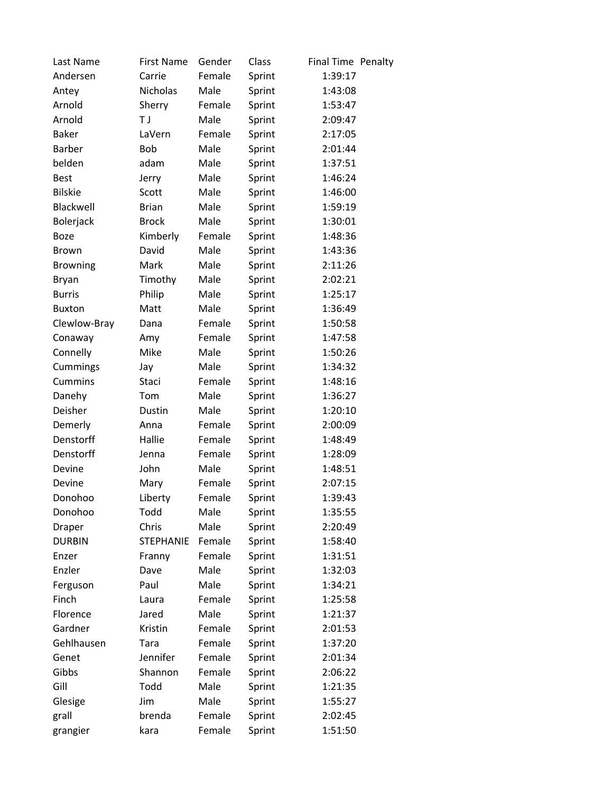| Last Name       | <b>First Name</b> | Gender | Class  | Final Time Penalty |  |
|-----------------|-------------------|--------|--------|--------------------|--|
| Andersen        | Carrie            | Female | Sprint | 1:39:17            |  |
| Antey           | <b>Nicholas</b>   | Male   | Sprint | 1:43:08            |  |
| Arnold          | Sherry            | Female | Sprint | 1:53:47            |  |
| Arnold          | T J               | Male   | Sprint | 2:09:47            |  |
| <b>Baker</b>    | LaVern            | Female | Sprint | 2:17:05            |  |
| <b>Barber</b>   | <b>Bob</b>        | Male   | Sprint | 2:01:44            |  |
| belden          | adam              | Male   | Sprint | 1:37:51            |  |
| <b>Best</b>     | Jerry             | Male   | Sprint | 1:46:24            |  |
| <b>Bilskie</b>  | Scott             | Male   | Sprint | 1:46:00            |  |
| Blackwell       | <b>Brian</b>      | Male   | Sprint | 1:59:19            |  |
| Bolerjack       | <b>Brock</b>      | Male   | Sprint | 1:30:01            |  |
| <b>Boze</b>     | Kimberly          | Female | Sprint | 1:48:36            |  |
| <b>Brown</b>    | David             | Male   | Sprint | 1:43:36            |  |
| <b>Browning</b> | Mark              | Male   | Sprint | 2:11:26            |  |
| <b>Bryan</b>    | Timothy           | Male   | Sprint | 2:02:21            |  |
| <b>Burris</b>   | Philip            | Male   | Sprint | 1:25:17            |  |
| <b>Buxton</b>   | Matt              | Male   | Sprint | 1:36:49            |  |
| Clewlow-Bray    | Dana              | Female | Sprint | 1:50:58            |  |
| Conaway         | Amy               | Female | Sprint | 1:47:58            |  |
| Connelly        | Mike              | Male   | Sprint | 1:50:26            |  |
| Cummings        | Jay               | Male   | Sprint | 1:34:32            |  |
| <b>Cummins</b>  | Staci             | Female | Sprint | 1:48:16            |  |
| Danehy          | Tom               | Male   | Sprint | 1:36:27            |  |
| Deisher         | Dustin            | Male   | Sprint | 1:20:10            |  |
| Demerly         | Anna              | Female | Sprint | 2:00:09            |  |
| Denstorff       | Hallie            | Female | Sprint | 1:48:49            |  |
| Denstorff       | Jenna             | Female | Sprint | 1:28:09            |  |
| Devine          | John              | Male   | Sprint | 1:48:51            |  |
| Devine          | Mary              | Female | Sprint | 2:07:15            |  |
| Donohoo         | Liberty           | Female | Sprint | 1:39:43            |  |
| Donohoo         | Todd              | Male   | Sprint | 1:35:55            |  |
| Draper          | Chris             | Male   | Sprint | 2:20:49            |  |
| <b>DURBIN</b>   | <b>STEPHANIE</b>  | Female | Sprint | 1:58:40            |  |
| Enzer           | Franny            | Female | Sprint | 1:31:51            |  |
| Enzler          | Dave              | Male   | Sprint | 1:32:03            |  |
| Ferguson        | Paul              | Male   | Sprint | 1:34:21            |  |
| Finch           | Laura             | Female | Sprint | 1:25:58            |  |
| Florence        | Jared             | Male   | Sprint | 1:21:37            |  |
| Gardner         | Kristin           | Female | Sprint | 2:01:53            |  |
| Gehlhausen      | Tara              | Female | Sprint | 1:37:20            |  |
| Genet           | Jennifer          | Female | Sprint | 2:01:34            |  |
| Gibbs           | Shannon           | Female | Sprint | 2:06:22            |  |
| Gill            | Todd              | Male   | Sprint | 1:21:35            |  |
| Glesige         | Jim               | Male   | Sprint | 1:55:27            |  |
| grall           | brenda            | Female | Sprint | 2:02:45            |  |
| grangier        | kara              | Female | Sprint | 1:51:50            |  |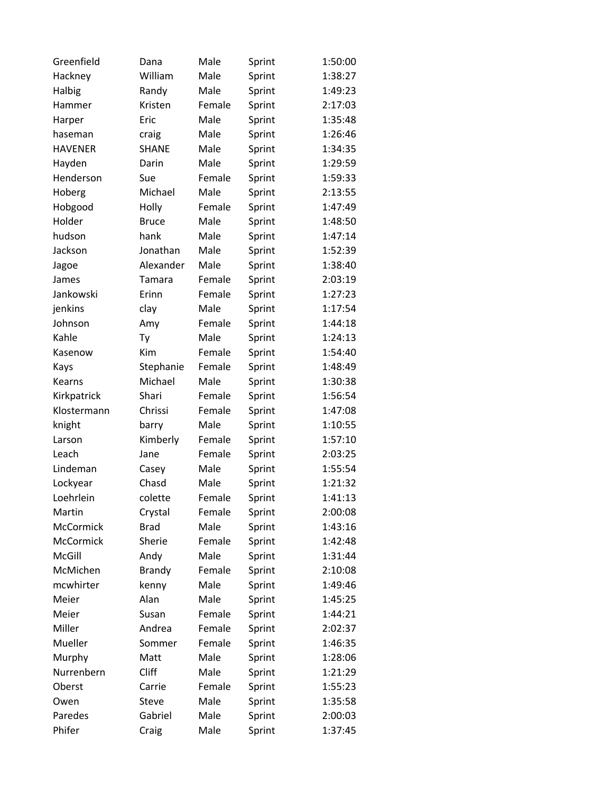| Greenfield     | Dana          | Male   | Sprint | 1:50:00 |
|----------------|---------------|--------|--------|---------|
| Hackney        | William       | Male   | Sprint | 1:38:27 |
| Halbig         | Randy         | Male   | Sprint | 1:49:23 |
| Hammer         | Kristen       | Female | Sprint | 2:17:03 |
| Harper         | Eric          | Male   | Sprint | 1:35:48 |
| haseman        | craig         | Male   | Sprint | 1:26:46 |
| <b>HAVENER</b> | <b>SHANE</b>  | Male   | Sprint | 1:34:35 |
| Hayden         | Darin         | Male   | Sprint | 1:29:59 |
| Henderson      | Sue           | Female | Sprint | 1:59:33 |
| Hoberg         | Michael       | Male   | Sprint | 2:13:55 |
| Hobgood        | Holly         | Female | Sprint | 1:47:49 |
| Holder         | <b>Bruce</b>  | Male   | Sprint | 1:48:50 |
| hudson         | hank          | Male   | Sprint | 1:47:14 |
| Jackson        | Jonathan      | Male   | Sprint | 1:52:39 |
| Jagoe          | Alexander     | Male   | Sprint | 1:38:40 |
| James          | Tamara        | Female | Sprint | 2:03:19 |
| Jankowski      | Erinn         | Female | Sprint | 1:27:23 |
| jenkins        | clay          | Male   | Sprint | 1:17:54 |
| Johnson        | Amy           | Female | Sprint | 1:44:18 |
| Kahle          | Ty            | Male   | Sprint | 1:24:13 |
| Kasenow        | <b>Kim</b>    | Female | Sprint | 1:54:40 |
| Kays           | Stephanie     | Female | Sprint | 1:48:49 |
| Kearns         | Michael       | Male   | Sprint | 1:30:38 |
| Kirkpatrick    | Shari         | Female | Sprint | 1:56:54 |
| Klostermann    | Chrissi       | Female | Sprint | 1:47:08 |
| knight         | barry         | Male   | Sprint | 1:10:55 |
| Larson         | Kimberly      | Female | Sprint | 1:57:10 |
| Leach          | Jane          | Female | Sprint | 2:03:25 |
| Lindeman       | Casey         | Male   | Sprint | 1:55:54 |
| Lockyear       | Chasd         | Male   | Sprint | 1:21:32 |
| Loehrlein      | colette       | Female | Sprint | 1:41:13 |
| Martin         | Crystal       | Female | Sprint | 2:00:08 |
| McCormick      | <b>Brad</b>   | Male   | Sprint | 1:43:16 |
| McCormick      | Sherie        | Female | Sprint | 1:42:48 |
| McGill         | Andy          | Male   | Sprint | 1:31:44 |
| McMichen       | <b>Brandy</b> | Female | Sprint | 2:10:08 |
| mcwhirter      | kenny         | Male   | Sprint | 1:49:46 |
| Meier          | Alan          | Male   | Sprint | 1:45:25 |
| Meier          | Susan         | Female | Sprint | 1:44:21 |
| Miller         | Andrea        | Female | Sprint | 2:02:37 |
| Mueller        | Sommer        | Female | Sprint | 1:46:35 |
| Murphy         | Matt          | Male   | Sprint | 1:28:06 |
| Nurrenbern     | Cliff         | Male   | Sprint | 1:21:29 |
| Oberst         | Carrie        | Female | Sprint | 1:55:23 |
| Owen           | Steve         | Male   | Sprint | 1:35:58 |
| Paredes        | Gabriel       | Male   | Sprint | 2:00:03 |
| Phifer         | Craig         | Male   | Sprint | 1:37:45 |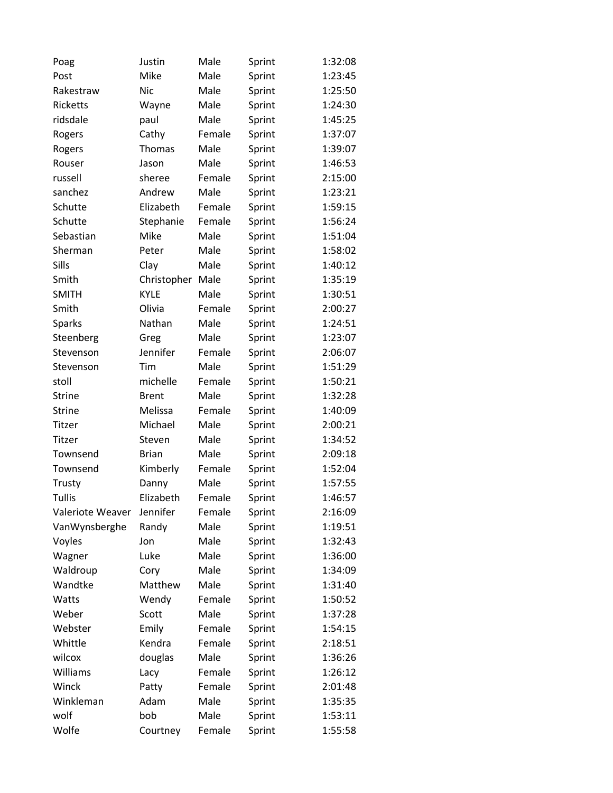| Poag             | Justin       | Male   | Sprint | 1:32:08 |
|------------------|--------------|--------|--------|---------|
| Post             | Mike         | Male   | Sprint | 1:23:45 |
| Rakestraw        | <b>Nic</b>   | Male   | Sprint | 1:25:50 |
| Ricketts         | Wayne        | Male   | Sprint | 1:24:30 |
| ridsdale         | paul         | Male   | Sprint | 1:45:25 |
| Rogers           | Cathy        | Female | Sprint | 1:37:07 |
| Rogers           | Thomas       | Male   | Sprint | 1:39:07 |
| Rouser           | Jason        | Male   | Sprint | 1:46:53 |
| russell          | sheree       | Female | Sprint | 2:15:00 |
| sanchez          | Andrew       | Male   | Sprint | 1:23:21 |
| Schutte          | Elizabeth    | Female | Sprint | 1:59:15 |
| Schutte          | Stephanie    | Female | Sprint | 1:56:24 |
| Sebastian        | Mike         | Male   | Sprint | 1:51:04 |
| Sherman          | Peter        | Male   | Sprint | 1:58:02 |
| Sills            | Clay         | Male   | Sprint | 1:40:12 |
| Smith            | Christopher  | Male   | Sprint | 1:35:19 |
| <b>SMITH</b>     | <b>KYLE</b>  | Male   | Sprint | 1:30:51 |
| Smith            | Olivia       | Female | Sprint | 2:00:27 |
| <b>Sparks</b>    | Nathan       | Male   | Sprint | 1:24:51 |
| Steenberg        | Greg         | Male   | Sprint | 1:23:07 |
| Stevenson        | Jennifer     | Female | Sprint | 2:06:07 |
| Stevenson        | Tim          | Male   | Sprint | 1:51:29 |
| stoll            | michelle     | Female | Sprint | 1:50:21 |
| <b>Strine</b>    | <b>Brent</b> | Male   | Sprint | 1:32:28 |
| <b>Strine</b>    | Melissa      | Female | Sprint | 1:40:09 |
| Titzer           | Michael      | Male   | Sprint | 2:00:21 |
| Titzer           | Steven       | Male   | Sprint | 1:34:52 |
| Townsend         | <b>Brian</b> | Male   | Sprint | 2:09:18 |
| Townsend         | Kimberly     | Female | Sprint | 1:52:04 |
| Trusty           | Danny        | Male   | Sprint | 1:57:55 |
| Tullis           | Elizabeth    | Female | Sprint | 1:46:57 |
| Valeriote Weaver | Jennifer     | Female | Sprint | 2:16:09 |
| VanWynsberghe    | Randy        | Male   | Sprint | 1:19:51 |
| Voyles           | Jon          | Male   | Sprint | 1:32:43 |
| Wagner           | Luke         | Male   | Sprint | 1:36:00 |
| Waldroup         | Cory         | Male   | Sprint | 1:34:09 |
| Wandtke          | Matthew      | Male   | Sprint | 1:31:40 |
| Watts            | Wendy        | Female | Sprint | 1:50:52 |
| Weber            | Scott        | Male   | Sprint | 1:37:28 |
| Webster          | Emily        | Female | Sprint | 1:54:15 |
| Whittle          | Kendra       | Female | Sprint | 2:18:51 |
| wilcox           | douglas      | Male   | Sprint | 1:36:26 |
| Williams         | Lacy         | Female | Sprint | 1:26:12 |
| Winck            | Patty        | Female | Sprint | 2:01:48 |
| Winkleman        | Adam         | Male   | Sprint | 1:35:35 |
| wolf             | bob          | Male   | Sprint | 1:53:11 |
| Wolfe            | Courtney     | Female | Sprint | 1:55:58 |